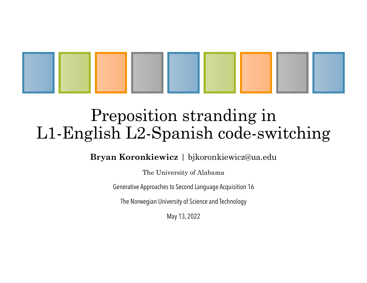

# Preposition stranding in L1-English L2-Spanish code-switching

**Bryan Koronkiewicz** | bjkoronkiewicz@ua.edu

The University of Alabama

Generative Approaches to Second Language Acquisition 16

The Norwegian University of Science and Technology

May 13, 2022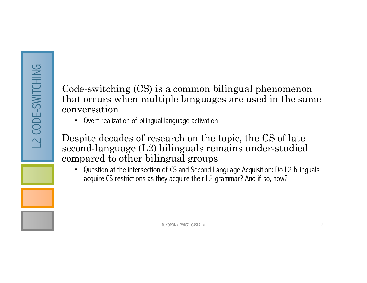Code-switching (CS) is a common bilingual phenomenon that occurs when multiple languages are used in the same conversation

• Overt realization of bilingual language activation

Despite decades of research on the topic, the CS of late second-language (L2) bilinguals remains under-studied compared to other bilingual groups

• Question at the intersection of CS and Second Language Acquisition: Do L2 bilinguals acquire CS restrictions as they acquire their L2 grammar? And if so, how?

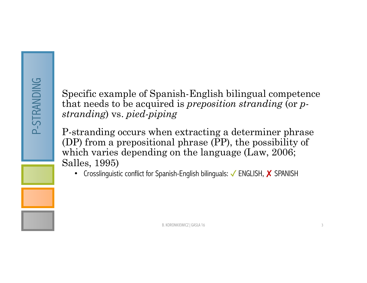Specific example of Spanish-English bilingual competence that needs to be acquired is *preposition stranding* (or *pstranding*) vs. *pied-piping*

P-stranding occurs when extracting a determiner phrase (DP) from a prepositional phrase (PP), the possibility of which varies depending on the language (Law, 2006; Salles, 1995)

• Crosslinguistic conflict for Spanish-English bilinguals: V ENGLISH, X SPANISH

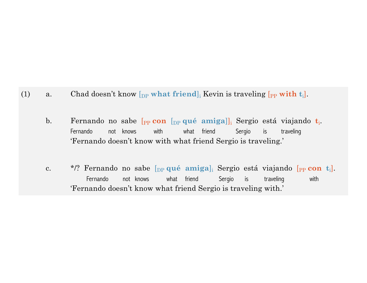- (1) a. Chad doesn't know  $\begin{bmatrix} p \end{bmatrix}$  what friend<sub>l</sub> Kevin is traveling  $\begin{bmatrix} p \end{bmatrix}$  with  $t_i$ .
	- b. Fernando no sabe [PP **con** [DP **qué amiga**]]i Sergio está viajando **t**i. Fernando not knows with what friend Sergio is traveling 'Fernando doesn't know with what friend Sergio is traveling.'
	- c. \*/? Fernando no sabe [DP **qué amiga**]i Sergio está viajando [PP **con t**i]. Fernando not knows what friend Sergio is traveling with 'Fernando doesn't know what friend Sergio is traveling with.'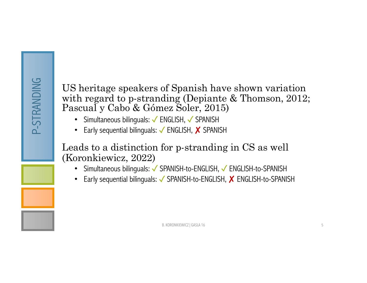US heritage speakers of Spanish have shown variation with regard to p-stranding (Depiante & Thomson, 2012; Pascual y Cabo & Gómez Soler, 2015)

- Simultaneous bilinguals: V ENGLISH, V SPANISH
- Early sequential bilinguals: V ENGLISH, X SPANISH

Leads to a distinction for p-stranding in CS as well (Koronkiewicz, 2022)

- Simultaneous bilinguals: √ SPANISH-to-ENGLISH, √ ENGLISH-to-SPANISH
- Early sequential bilinguals: √ SPANISH-to-ENGLISH, X ENGLISH-to-SPANISH

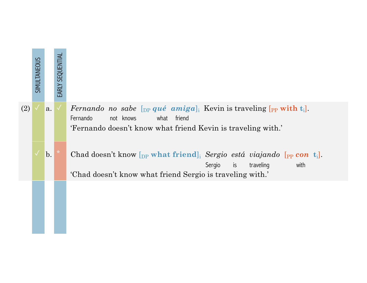

(2)  $\checkmark$  a.  $\checkmark$  *Fernando no sabe* [<sub>DP</sub> *qué amiga*]<sub>i</sub> Kevin is traveling [<sub>PP</sub> with t<sub>i</sub>]. Fernando not knows what friend 'Fernando doesn't know what friend Kevin is traveling with.'

b. Chad doesn't know  $[p_P \text{ what friend}]_i$  *Sergio está viajando*  $[p_P \text{ con } t_i]$ . Sergio is traveling with 'Chad doesn't know what friend Sergio is traveling with.'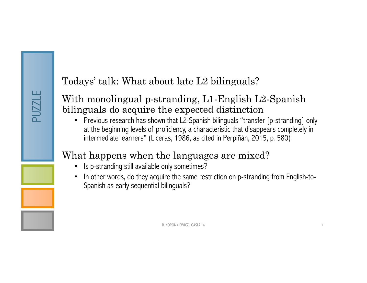#### Todays' talk: What about late L2 bilinguals?

#### With monolingual p-stranding, L1-English L2-Spanish bilinguals do acquire the expected distinction

• Previous research has shown that L2-Spanish bilinguals "transfer [p-stranding] only at the beginning levels of proficiency, a characteristic that disappears completely in intermediate learners" (Liceras, 1986, as cited in Perpiñán, 2015, p. 580)

## What happens when the languages are mixed?

- Is p-stranding still available only sometimes?
- In other words, do they acquire the same restriction on p-stranding from English-to-Spanish as early sequential bilinguals?

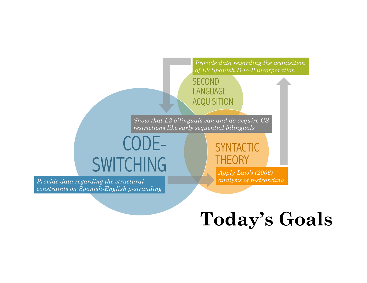

# **Today's Goals**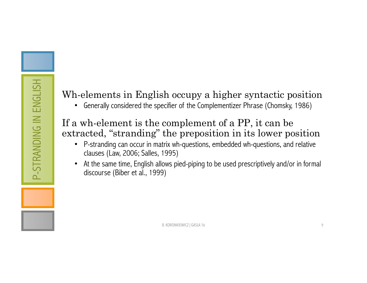## Wh-elements in English occupy a higher syntactic position

• Generally considered the specifier of the Complementizer Phrase (Chomsky, 1986)

#### If a wh-element is the complement of a PP, it can be extracted, "stranding" the preposition in its lower position

- P-stranding can occur in matrix wh-questions, embedded wh-questions, and relative clauses (Law, 2006; Salles, 1995)
- At the same time, English allows pied-piping to be used prescriptively and/or in formal discourse (Biber et al., 1999)

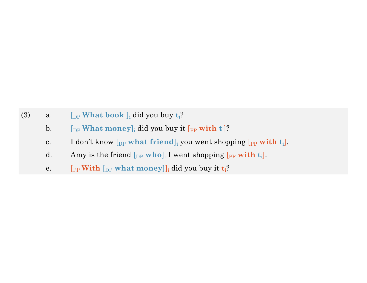- (3) a.  $\left[\begin{array}{cc}p\end{array}\right]$  **book**  $\left]\begin{array}{c}\right]_i$  did you buy  $t_i$ ?
	- b.  $\left[\begin{array}{cc} \left[\text{DP} \text{ What money}\right] \text{ is} \end{array}\right]$  did you buy it  $\left[\text{PP} \text{ with } t_i\right]$ ?
	- c. I don't know  $\begin{bmatrix} p_P \end{bmatrix}$  what friend]<sub>i</sub> you went shopping  $\begin{bmatrix} p_P \end{bmatrix}$  with  $t_i$ .
	- d. Amy is the friend  $[p_P \text{ who}]_i$  I went shopping  $[p_P \text{ with } t_i]$ .
	- e.  $[p_P \text{With } [p_P \text{ what money}]]_i$  did you buy it  $t_i$ ?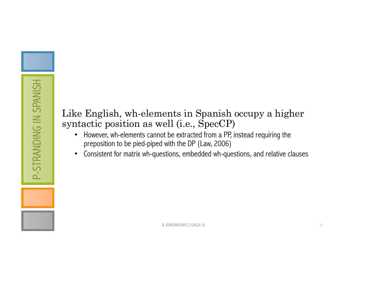#### Like English, wh-elements in Spanish occupy a higher syntactic position as well (i.e., SpecCP)

- However, wh-elements cannot be extracted from a PP, instead requiring the preposition to be pied-piped with the DP (Law, 2006)
- Consistent for matrix wh-questions, embedded wh-questions, and relative clauses

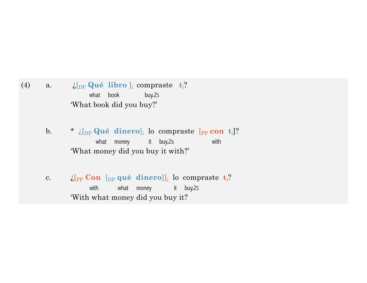(4) a.  $i[\text{DP} \text{Q} \text{u\'{e}} \text{libro}]_i$  compraste  $t_i$ ? what book buy.2s 'What book did you buy?'

> b. \*  $\zeta$ [<sub>DP</sub> **Qué dinero**]<sub>i</sub> lo compraste [<sub>PP</sub> **con t**<sub>i</sub>]? what money it buy.2s with 'What money did you buy it with?'

c.  $\mathcal{E}[\text{PP} \text{ Con } [\text{DP} \text{ qu\'e} \text{ dinero}]]$  lo compraste  $\mathbf{t}_i$ ? with what money it buy.2s 'With what money did you buy it?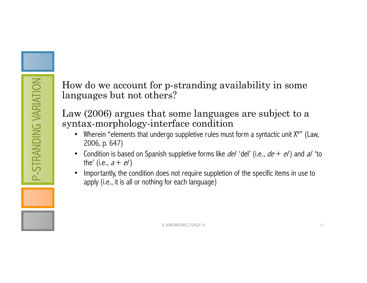How do we account for p-stranding availability in some languages but not others?

Law (2006) argues that some languages are subject to a syntax-morphology-interface condition

- Wherein "elements that undergo suppletive rules must form a syntactic unit X°" (Law, 2006, p. 647)
- Condition is based on Spanish suppletive forms like  $del'$  'del' (i.e.,  $de + e$ ) and  $al$  'to the' (i.e.,  $a + e$ )
- Importantly, the condition does not require suppletion of the specific items in use to apply (i.e., it is all or nothing for each language)

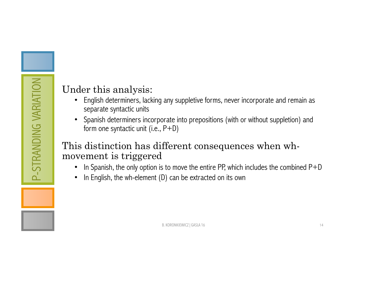#### Under this analysis:

- English determiners, lacking any suppletive forms, never incorporate and remain as separate syntactic units
- Spanish determiners incorporate into prepositions (with or without suppletion) and form one syntactic unit (i.e., P+D)

#### This distinction has different consequences when whmovement is triggered

- In Spanish, the only option is to move the entire PP, which includes the combined  $P+D$
- In English, the wh-element (D) can be extracted on its own

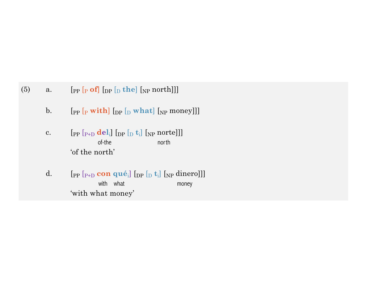- (5) a.  $[$  [PP  $[$ P **of**]  $[$   $]$   $[$ <sub>D</sub>  $]$   $[$ <sub>NP</sub> north]]]
	- b.  $[p_P [P \text{ with } P] [P \text{ with } P]$  [Degement] [NP money]]]
	- c.  $[\text{pp } [\text{p}_{\text{+D}} \text{del}_i] [\text{pp } [\text{p}_{\text{+D}} \text{del}_i] [\text{NP} \text{m}$ of-the north 'of the north'
	- d.  $[p_P [P_{P+D} \textbf{con } q \textbf{u}\hat{\mathbf{e}}_i]$  [<sub>DP</sub> [<sub>D</sub> **t**<sub>i</sub>] [<sub>NP</sub> dinero]]] with what money 'with what money'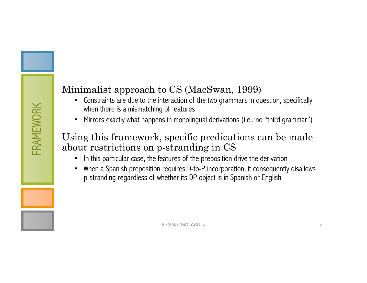## Minimalist approach to CS (MacSwan, 1999)

- Constraints are due to the interaction of the two grammars in question, specifically when there is a mismatching of features
- Mirrors exactly what happens in monolingual derivations (i.e., no "third grammar")

#### Using this framework, specific predications can be made about restrictions on p-stranding in CS

- In this particular case, the features of the preposition drive the derivation
- When a Spanish preposition requires D-to-P incorporation, it consequently disallows p-stranding regardless of whether its DP object is in Spanish or English

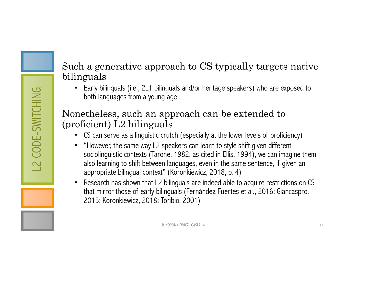#### Such a generative approach to CS typically targets native bilinguals

• Early bilinguals (i.e., 2L1 bilinguals and/or heritage speakers) who are exposed to both languages from a young age

#### Nonetheless, such an approach can be extended to (proficient) L2 bilinguals

- CS can serve as a linguistic crutch (especially at the lower levels of proficiency)
- "However, the same way L2 speakers can learn to style shift given different sociolinguistic contexts (Tarone, 1982, as cited in Ellis, 1994), we can imagine them also learning to shift between languages, even in the same sentence, if given an appropriate bilingual context" (Koronkiewicz, 2018, p. 4)
- Research has shown that L2 bilinguals are indeed able to acquire restrictions on CS that mirror those of early bilinguals (Fernández Fuertes et al., 2016; Giancaspro, 2015; Koronkiewicz, 2018; Toribio, 2001)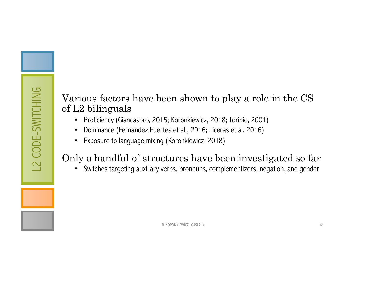#### Various factors have been shown to play a role in the CS of L2 bilinguals

- Proficiency (Giancaspro, 2015; Koronkiewicz, 2018; Toribio, 2001)
- Dominance (Fernández Fuertes et al., 2016; Liceras et al. 2016)
- Exposure to language mixing (Koronkiewicz, 2018)

## Only a handful of structures have been investigated so far

• Switches targeting auxiliary verbs, pronouns, complementizers, negation, and gender

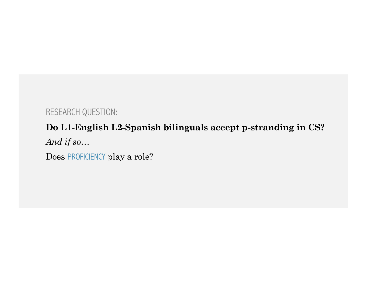#### RESEARCH QUESTION:

## **Do L1-English L2-Spanish bilinguals accept p-stranding in CS?**

*And if so*…

Does PROFICIENCY play a role?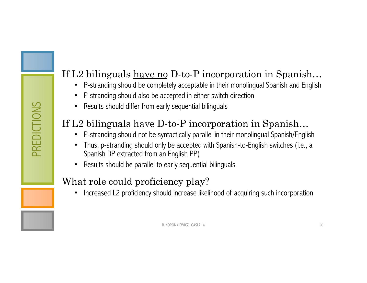## If L2 bilinguals <u>have no</u> D-to-P incorporation in Spanish...

- P-stranding should be completely acceptable in their monolingual Spanish and English
- P-stranding should also be accepted in either switch direction
- Results should differ from early sequential bilinguals

## If L2 bilinguals <u>have</u> D-to-P incorporation in Spanish...

- P-stranding should not be syntactically parallel in their monolingual Spanish/English
- Thus, p-stranding should only be accepted with Spanish-to-English switches (i.e., a Spanish DP extracted from an English PP)
- Results should be parallel to early sequential bilinguals

#### What role could proficiency play?

• Increased L2 proficiency should increase likelihood of acquiring such incorporation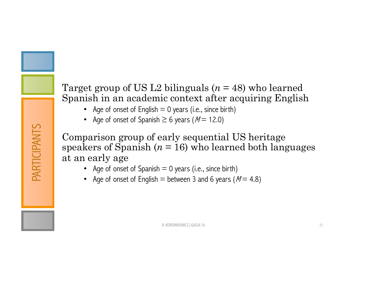#### Target group of US L2 bilinguals (*n* = 48) who learned Spanish in an academic context after acquiring English

- Age of onset of English  $= 0$  years (i.e., since birth)
- Age of onset of Spanish  $\geq 6$  years ( $M = 12.0$ )

PARTICIPANTS

PARTICIPANTS

Comparison group of early sequential US heritage speakers of Spanish  $(n = 16)$  who learned both languages at an early age

- Age of onset of Spanish  $= 0$  years (i.e., since birth)
- Age of onset of English = between 3 and 6 years ( $M = 4.8$ )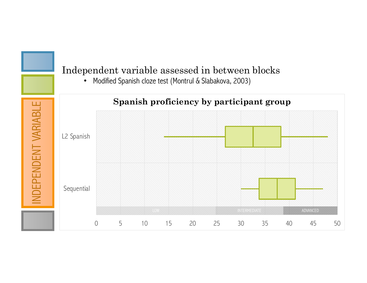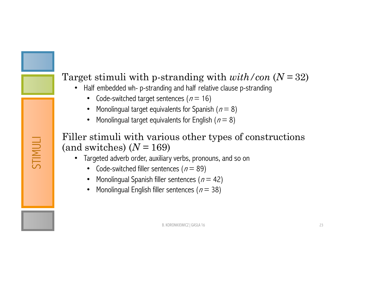## Target stimuli with p-stranding with *with/con* (*N =* 32)

- Half embedded wh- p-stranding and half relative clause p-stranding
	- Code-switched target sentences  $(n = 16)$
	- Monolingual target equivalents for Spanish ( $n = 8$ )
	- Monolingual target equivalents for English ( $n = 8$ )

#### Filler stimuli with various other types of constructions (and switches) (*N =* 169)

- Targeted adverb order, auxiliary verbs, pronouns, and so on
	- Code-switched filler sentences ( $n = 89$ )

STIMULI

- Monolingual Spanish filler sentences  $(n = 42)$
- Monolingual English filler sentences ( $n = 38$ )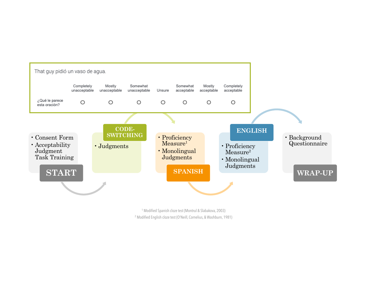

<sup>1</sup> Modified Spanish cloze test (Montrul & Slabakova, 2003) <sup>2</sup> Modified English cloze test (O'Neill, Cornelius, & Washburn, 1981)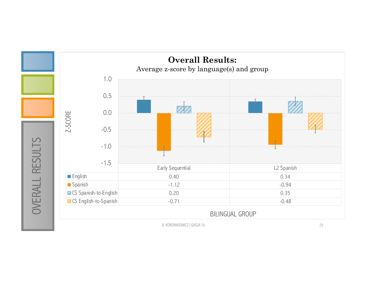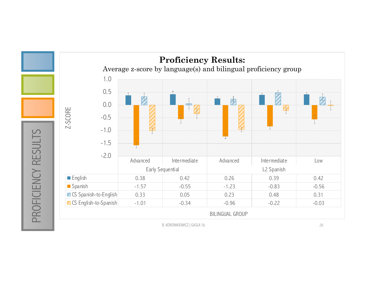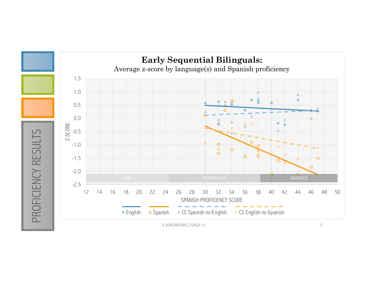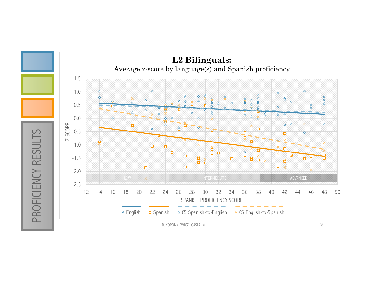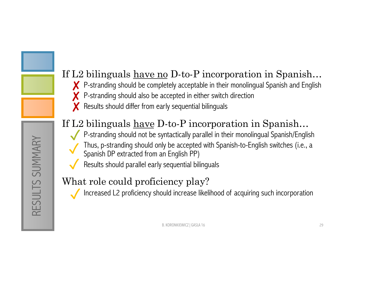## If L2 bilinguals <u>have no</u> D-to-P incorporation in Spanish...

- <del></del> **⊁** P-stranding should be completely acceptable in their monolingual Spanish and English
- P-stranding should also be accepted in either switch direction ✘
- Results should differ from early sequential bilinguals ✘

## If L2 bilinguals <u>have</u> D-to-P incorporation in Spanish...

- P-stranding should not be syntactically parallel in their monolingual Spanish/English • Thus, p-stranding should only be accepted with Spanish-to-English switches (i.e., a Spanish DP extracted from an English PP) ✓ ✓
- Results should parallel early sequential bilinguals ✓

## What role could proficiency play?

• Increased L2 proficiency should increase likelihood of acquiring such incorporation ✓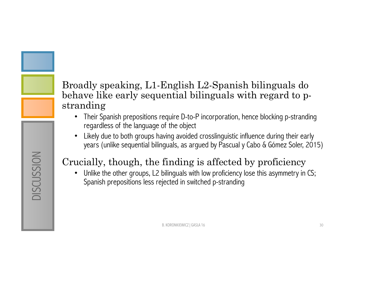#### Broadly speaking, L1-English L2-Spanish bilinguals do behave like early sequential bilinguals with regard to pstranding

- Their Spanish prepositions require D-to-P incorporation, hence blocking p-stranding regardless of the language of the object
- Likely due to both groups having avoided crosslinguistic influence during their early years (unlike sequential bilinguals, as argued by Pascual y Cabo & Gómez Soler, 2015)

## Crucially, though, the finding is affected by proficiency

• Unlike the other groups, L2 bilinguals with low proficiency lose this asymmetry in CS; Spanish prepositions less rejected in switched p-stranding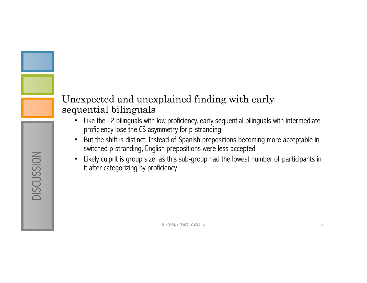#### Unexpected and unexplained finding with early sequential bilinguals

DISCUSSION

**DISCUSSION** 

- Like the L2 bilinguals with low proficiency, early sequential bilinguals with intermediate proficiency lose the CS asymmetry for p-stranding
- But the shift is distinct: Instead of Spanish prepositions becoming more acceptable in switched p-stranding, English prepositions were less accepted
- Likely culprit is group size, as this sub-group had the lowest number of participants in it after categorizing by proficiency

B. KORONKIEWICZ | GASLA 16 31 32 32 32 33 34 35 36 36 37 38 39 36 37 38 39 38 39 31 32 33 34 35 37 38 39 31 32 33 34 35 37 38 39 39 30 31 32 33 33 34 35 37 38 38 39 39 30 31 32 33 34 35 36 37 38 39 39 30 31 32 33 34 35 35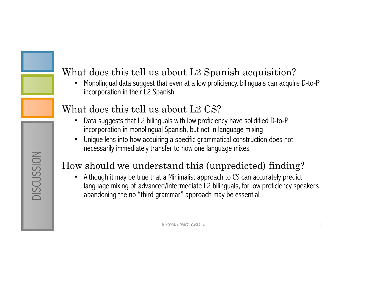## What does this tell us about L2 Spanish acquisition?

• Monolingual data suggest that even at a low proficiency, bilinguals can acquire D-to-P incorporation in their L2 Spanish

#### What does this tell us about L2 CS?

- Data suggests that L2 bilinguals with low proficiency have solidified D-to-P incorporation in monolingual Spanish, but not in language mixing
- Unique lens into how acquiring a specific grammatical construction does not necessarily immediately transfer to how one language mixes

## How should we understand this (unpredicted) finding?

• Although it may be true that a Minimalist approach to CS can accurately predict language mixing of advanced/intermediate L2 bilinguals, for low proficiency speakers abandoning the no "third grammar" approach may be essential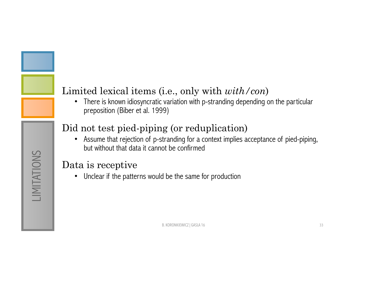## Limited lexical items (i.e., only with *with/con*)

• There is known idiosyncratic variation with p-stranding depending on the particular preposition (Biber et al. 1999)

## Did not test pied-piping (or reduplication)

• Assume that rejection of p-stranding for a context implies acceptance of pied-piping, but without that data it cannot be confirmed

#### Data is receptive

• Unclear if the patterns would be the same for production

LIMITATIONS LIMITATIONS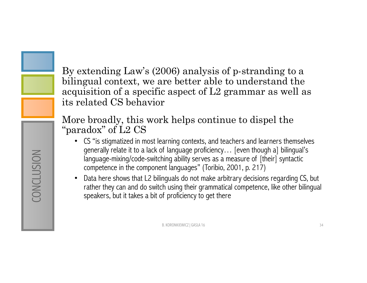By extending Law's (2006) analysis of p-stranding to a bilingual context, we are better able to understand the acquisition of a specific aspect of L2 grammar as well as its related CS behavior

More broadly, this work helps continue to dispel the "paradox" of L2 CS

- CS "is stigmatized in most learning contexts, and teachers and learners themselves generally relate it to a lack of language proficiency… [even though a] bilingual's language-mixing/code-switching ability serves as a measure of [their] syntactic competence in the component languages" (Toribio, 2001, p. 217)
- Data here shows that L2 bilinguals do not make arbitrary decisions regarding CS, but rather they can and do switch using their grammatical competence, like other bilingual speakers, but it takes a bit of proficiency to get there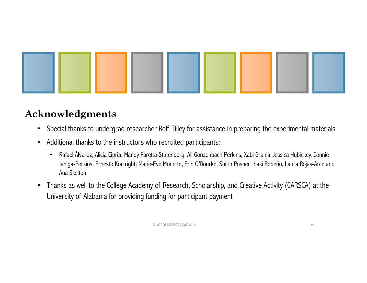

#### **Acknowledgments**

- Special thanks to undergrad researcher Rolf Tilley for assistance in preparing the experimental materials
- Additional thanks to the instructors who recruited participants:
	- Rafael Álvarez, Alicia Cipria, Mandy Faretta-Stutenberg, Ali Gonzenbach Perkins, Xabi Granja, Jessica Hubickey, Connie Janiga-Perkins, Ernesto Kortright, Marie-Eve Monette, Erin O'Rourke, Shirin Posner, Iñaki Rodeño, Laura Rojas-Arce and Ana Skelton
- Thanks as well to the College Academy of Research, Scholarship, and Creative Activity (CARSCA) at the University of Alabama for providing funding for participant payment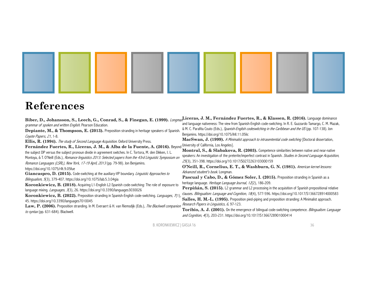

## **References**

| and language nativeness: The view from Spanish-English code-switching. In R. E. Guzzardo Tamargo, C. M. Mazak,<br>grammar of spoken and written English. Pearson Education.<br>& M. C. Parafita Couto (Eds.), Spanish-English codeswitching in the Caribbean and the US (pp. 107-138). Jon<br>Depiante, M., & Thompson, E. (2013). Preposition stranding in heritage speakers of Spanish.<br>Benjamins. https://doi.org/10.1075/ihll.11.05lic<br>Coyote Papers, 21, 1-8.<br>MacSwan, J. (1999). A Minimalist approach to intrasentential code switching [Doctoral dissertation,<br>Ellis, R. (1994). The study of Second Language Acquisition. Oxford University Press.<br>Fernández Fuertes, R., Liceras, J. M., & Alba de la Fuente, A. (2016). Beyond University of California, Los Angeles].<br>Montrul, S., & Slabakova, R. (2003). Competence similarities between native and near-native<br>speakers: An investigation of the preterite/imperfect contrast in Spanish. Studies in Second Language Acquisition,<br>Montoya, & T. O'Neill (Eds.), Romance linguistics 2013: Selected papers from the 43rd Linguistic Symposium on<br>25(3), 351-398. https://doi.org/10.1017/S0272263103000159<br>Romance Languages (LSRL), New York, 17-19 April, 2013 (pp. 79-98). Jon Benjamins.<br>O'Neill, R., Cornelius, E. T., & Washburn, G. N. (1981). American kernel lessons:<br>https://doi.org/10.1075/rllt.9.05fue<br>Advanced student's book. Longman.<br><b>Pascual y Cabo, D., &amp; Gómez Soler, I. (2015).</b> Preposition stranding in Spanish as a<br><i>Bilingualism</i> , 5(3), 379-407. https://doi.org/10.1075/lab.5.3.04gia<br>heritage language. Heritage Language Journal, 12(2), 186-209.<br>Koronkiewicz, B. (2018). Acquiring L1-English L2-Spanish code-switching: The role of exposure to<br><b>Perpiñán, S. (2015).</b> L2 grammar and L2 processing in the acquisition of Spanish prepositional relative<br>language mixing. Languages, 3(3), 26. https://doi.org/10.3390/languages3030026<br>clauses. Bilingualism: Language and Cognition, 18(4), 577-596. https://doi.org/10.1017/S1366728914000583<br>Koronkiewicz, B. (2022). Preposition stranding in Spanish-English code-switching. Languages, 7(1),<br>Salles, H. M.-L. (1995). Preposition pied-piping and preposition stranding: A Minimalist approach.<br>45. https://doi.org/10.3390/languages7010045<br>Research Papers in Linguistics, 6, 97-123.<br>Law, P. (2006). Preposition stranding. In M. Everaert & H. van Riemsdijk (Eds.), The Blackwell companion<br>Toribio, A. J. (2001). On the emergence of bilingual code-switching competence. Bilingualism: Language | Biber, D., Johansson, S., Leech, G., Conrad, S., & Finegan, E. (1999). <i>Longman</i> Liceras, J. M., Fernández Fuertes, R., & Klassen, R. (2016). Language dominance                                       |                                                                         |
|----------------------------------------------------------------------------------------------------------------------------------------------------------------------------------------------------------------------------------------------------------------------------------------------------------------------------------------------------------------------------------------------------------------------------------------------------------------------------------------------------------------------------------------------------------------------------------------------------------------------------------------------------------------------------------------------------------------------------------------------------------------------------------------------------------------------------------------------------------------------------------------------------------------------------------------------------------------------------------------------------------------------------------------------------------------------------------------------------------------------------------------------------------------------------------------------------------------------------------------------------------------------------------------------------------------------------------------------------------------------------------------------------------------------------------------------------------------------------------------------------------------------------------------------------------------------------------------------------------------------------------------------------------------------------------------------------------------------------------------------------------------------------------------------------------------------------------------------------------------------------------------------------------------------------------------------------------------------------------------------------------------------------------------------------------------------------------------------------------------------------------------------------------------------------------------------------------------------------------------------------------------------------------------------------------------------------------------------------------------------------------------------------------------------------------------------------------------------------------------------------------------------------------------------------------------------------------------------------------------------------------------------------------------|-------------------------------------------------------------------------------------------------------------------------------------------------------------------------------------------------------------|-------------------------------------------------------------------------|
|                                                                                                                                                                                                                                                                                                                                                                                                                                                                                                                                                                                                                                                                                                                                                                                                                                                                                                                                                                                                                                                                                                                                                                                                                                                                                                                                                                                                                                                                                                                                                                                                                                                                                                                                                                                                                                                                                                                                                                                                                                                                                                                                                                                                                                                                                                                                                                                                                                                                                                                                                                                                                                                                |                                                                                                                                                                                                             |                                                                         |
|                                                                                                                                                                                                                                                                                                                                                                                                                                                                                                                                                                                                                                                                                                                                                                                                                                                                                                                                                                                                                                                                                                                                                                                                                                                                                                                                                                                                                                                                                                                                                                                                                                                                                                                                                                                                                                                                                                                                                                                                                                                                                                                                                                                                                                                                                                                                                                                                                                                                                                                                                                                                                                                                |                                                                                                                                                                                                             |                                                                         |
|                                                                                                                                                                                                                                                                                                                                                                                                                                                                                                                                                                                                                                                                                                                                                                                                                                                                                                                                                                                                                                                                                                                                                                                                                                                                                                                                                                                                                                                                                                                                                                                                                                                                                                                                                                                                                                                                                                                                                                                                                                                                                                                                                                                                                                                                                                                                                                                                                                                                                                                                                                                                                                                                |                                                                                                                                                                                                             |                                                                         |
|                                                                                                                                                                                                                                                                                                                                                                                                                                                                                                                                                                                                                                                                                                                                                                                                                                                                                                                                                                                                                                                                                                                                                                                                                                                                                                                                                                                                                                                                                                                                                                                                                                                                                                                                                                                                                                                                                                                                                                                                                                                                                                                                                                                                                                                                                                                                                                                                                                                                                                                                                                                                                                                                |                                                                                                                                                                                                             |                                                                         |
|                                                                                                                                                                                                                                                                                                                                                                                                                                                                                                                                                                                                                                                                                                                                                                                                                                                                                                                                                                                                                                                                                                                                                                                                                                                                                                                                                                                                                                                                                                                                                                                                                                                                                                                                                                                                                                                                                                                                                                                                                                                                                                                                                                                                                                                                                                                                                                                                                                                                                                                                                                                                                                                                |                                                                                                                                                                                                             |                                                                         |
|                                                                                                                                                                                                                                                                                                                                                                                                                                                                                                                                                                                                                                                                                                                                                                                                                                                                                                                                                                                                                                                                                                                                                                                                                                                                                                                                                                                                                                                                                                                                                                                                                                                                                                                                                                                                                                                                                                                                                                                                                                                                                                                                                                                                                                                                                                                                                                                                                                                                                                                                                                                                                                                                | the subject DP versus the subject pronoun divide in agreement switches. In C. Tortora, M. den Dikken, I. L.<br>Giancaspro, D. (2015). Code-switching at the auxiliary-VP boundary. Linguistic Approaches to |                                                                         |
|                                                                                                                                                                                                                                                                                                                                                                                                                                                                                                                                                                                                                                                                                                                                                                                                                                                                                                                                                                                                                                                                                                                                                                                                                                                                                                                                                                                                                                                                                                                                                                                                                                                                                                                                                                                                                                                                                                                                                                                                                                                                                                                                                                                                                                                                                                                                                                                                                                                                                                                                                                                                                                                                | to syntax (pp. 631-684). Blackwell.                                                                                                                                                                         | and Cognition, 4(3), 203-231. https://doi.org/10.1017/S1366728901000414 |